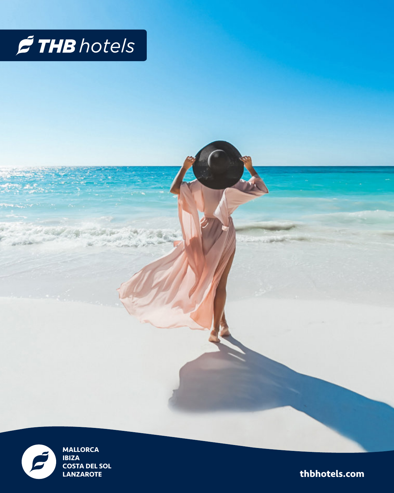



**MALLORCA IBIZA COSTA DEL SOL LANZAROTE** 

thbhotels.com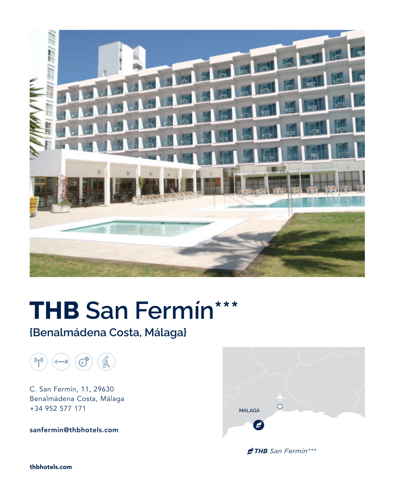

# **THB San Fermín\*\*\***

## **{Benalmádena Costa, Málaga}**



C. San Fermín, 11, 29630 Benalmádena Costa, Málaga +34 952 577 171

**sanfermin@thbhotels.com**



*THB San Fermín\*\*\**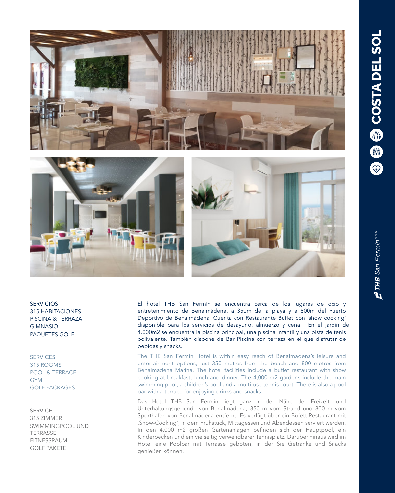

**SERVICIOS** 315 HABITACIONES PISCINA & TERRAZA GIMNASIO PAQUETES GOLF

#### **SERVICES**

315 ROOMS POOL & TERRACE **GYM** GOLF PACKAGES

#### SERVICE

315 ZIMMER SWIMMINGPOOL UND TERRASSE FITNESSRAUM GOLF PAKETE

El hotel THB San Fermín se encuentra cerca de los lugares de ocio y entretenimiento de Benalmádena, a 350m de la playa y a 800m del Puerto Deportivo de Benalmádena. Cuenta con Restaurante Buffet con 'show cooking' disponible para los servicios de desayuno, almuerzo y cena. En el jardín de 4.000m2 se encuentra la piscina principal, una piscina infantil y una pista de tenis polivalente. También dispone de Bar Piscina con terraza en el que disfrutar de bebidas y snacks.

The THB San Fermín Hotel is within easy reach of Benalmadena's leisure and entertainment options, just 350 metres from the beach and 800 metres from Benalmadena Marina. The hotel facilities include a buffet restaurant with show cooking at breakfast, lunch and dinner. The 4,000 m2 gardens include the main swimming pool, a children's pool and a multi-use tennis court. There is also a pool bar with a terrace for enjoying drinks and snacks.

Das Hotel THB San Fermín liegt ganz in der Nähe der Freizeit- und Unterhaltungsgegend von Benalmádena, 350 m vom Strand und 800 m vom Sporthafen von Benalmádena entfernt. Es verfügt über ein Büfett-Restaurant mit 'Show-Cooking', in dem Frühstück, Mittagessen und Abendessen serviert werden. In den 4.000 m2 großen Gartenanlagen befinden sich der Hauptpool, ein Kinderbecken und ein vielseitig verwendbarer Tennisplatz. Darüber hinaus wird im Hotel eine Poolbar mit Terrasse geboten, in der Sie Getränke und Snacks genießen können.